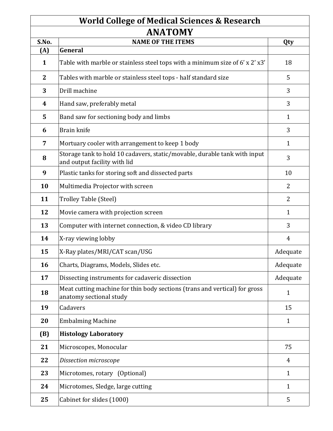#### **World College of Medical Sciences & Research ANATOMY**

| ANA I UM Y       |                                                                                                           |                |
|------------------|-----------------------------------------------------------------------------------------------------------|----------------|
| S.No.            | <b>NAME OF THE ITEMS</b>                                                                                  | Qty            |
| (A)              | General                                                                                                   |                |
| $\mathbf{1}$     | Table with marble or stainless steel tops with a minimum size of 6' x 2' x3'                              | 18             |
| $\mathbf{2}$     | Tables with marble or stainless steel tops - half standard size                                           | 5              |
| 3                | Drill machine                                                                                             | 3              |
| $\boldsymbol{4}$ | Hand saw, preferably metal                                                                                | 3              |
| 5                | Band saw for sectioning body and limbs                                                                    | $\mathbf{1}$   |
| 6                | Brain knife                                                                                               | 3              |
| $\overline{7}$   | Mortuary cooler with arrangement to keep 1 body                                                           | $\mathbf{1}$   |
| 8                | Storage tank to hold 10 cadavers, static/movable, durable tank with input<br>and output facility with lid | 3              |
| 9                | Plastic tanks for storing soft and dissected parts                                                        | 10             |
| 10               | Multimedia Projector with screen                                                                          | $\overline{2}$ |
| 11               | Trolley Table (Steel)                                                                                     | $\overline{2}$ |
| 12               | Movie camera with projection screen                                                                       | $\mathbf{1}$   |
| 13               | Computer with internet connection, & video CD library                                                     | 3              |
| 14               | X-ray viewing lobby                                                                                       | 4              |
| 15               | X-Ray plates/MRI/CAT scan/USG                                                                             | Adequate       |
| 16               | Charts, Diagrams, Models, Slides etc.                                                                     | Adequate       |
| 17               | Dissecting instruments for cadaveric dissection                                                           | Adequate       |
| 18               | Meat cutting machine for thin body sections (trans and vertical) for gross<br>anatomy sectional study     | $\mathbf{1}$   |
| 19               | Cadavers                                                                                                  | 15             |
| 20               | <b>Embalming Machine</b>                                                                                  | $\mathbf{1}$   |
| (B)              | <b>Histology Laboratory</b>                                                                               |                |
| 21               | Microscopes, Monocular                                                                                    | 75             |
| 22               | Dissection microscope                                                                                     | 4              |
| 23               | Microtomes, rotary (Optional)                                                                             | $\mathbf{1}$   |
| 24               | Microtomes, Sledge, large cutting                                                                         | $\mathbf{1}$   |
| 25               | Cabinet for slides (1000)                                                                                 | 5              |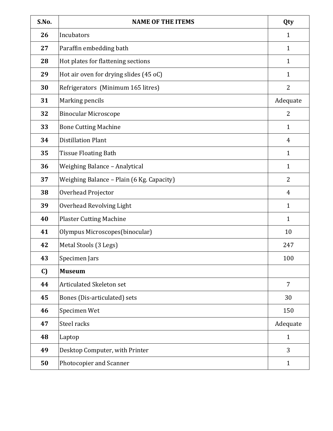| S.No. | <b>NAME OF THE ITEMS</b>                  | Qty            |
|-------|-------------------------------------------|----------------|
| 26    | Incubators                                | $\mathbf{1}$   |
| 27    | Paraffin embedding bath                   | $\mathbf{1}$   |
| 28    | Hot plates for flattening sections        | $\mathbf{1}$   |
| 29    | Hot air oven for drying slides (45 oC)    | $\mathbf{1}$   |
| 30    | Refrigerators (Minimum 165 litres)        | 2              |
| 31    | Marking pencils                           | Adequate       |
| 32    | <b>Binocular Microscope</b>               | $\overline{2}$ |
| 33    | <b>Bone Cutting Machine</b>               | $\mathbf{1}$   |
| 34    | <b>Distillation Plant</b>                 | $\overline{4}$ |
| 35    | <b>Tissue Floating Bath</b>               | $\mathbf{1}$   |
| 36    | Weighing Balance - Analytical             | $\mathbf{1}$   |
| 37    | Weighing Balance - Plain (6 Kg. Capacity) | 2              |
| 38    | Overhead Projector                        | 4              |
| 39    | <b>Overhead Revolving Light</b>           | 1              |
| 40    | <b>Plaster Cutting Machine</b>            | $\mathbf{1}$   |
| 41    | Olympus Microscopes(binocular)            | 10             |
| 42    | Metal Stools (3 Legs)                     | 247            |
| 43    | Specimen Jars                             | 100            |
| C)    | <b>Museum</b>                             |                |
| 44    | Articulated Skeleton set                  | 7              |
| 45    | Bones (Dis-articulated) sets              | 30             |
| 46    | Specimen Wet                              | 150            |
| 47    | Steel racks                               | Adequate       |
| 48    | Laptop                                    | $\mathbf{1}$   |
| 49    | Desktop Computer, with Printer            | $\overline{3}$ |
| 50    | Photocopier and Scanner                   | $\mathbf{1}$   |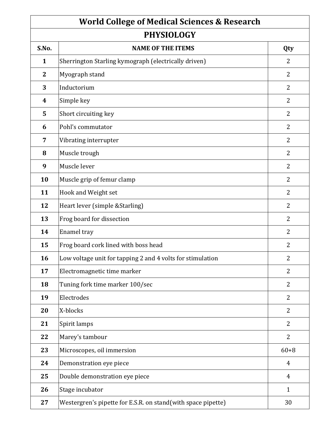| <b>World College of Medical Sciences &amp; Research</b> |                                                              |                |
|---------------------------------------------------------|--------------------------------------------------------------|----------------|
| <b>PHYSIOLOGY</b>                                       |                                                              |                |
| S.No.                                                   | <b>NAME OF THE ITEMS</b>                                     | Qty            |
| 1                                                       | Sherrington Starling kymograph (electrically driven)         | 2              |
| $\mathbf{2}$                                            | Myograph stand                                               | 2              |
| 3                                                       | Inductorium                                                  | 2              |
| 4                                                       | Simple key                                                   | 2              |
| 5                                                       | Short circuiting key                                         | 2              |
| 6                                                       | Pohl's commutator                                            | 2              |
| 7                                                       | Vibrating interrupter                                        | $\overline{2}$ |
| 8                                                       | Muscle trough                                                | 2              |
| 9                                                       | Muscle lever                                                 | 2              |
| 10                                                      | Muscle grip of femur clamp                                   | 2              |
| 11                                                      | Hook and Weight set                                          | 2              |
| 12                                                      | Heart lever (simple & Starling)                              | $\overline{2}$ |
| 13                                                      | Frog board for dissection                                    | $\overline{2}$ |
| 14                                                      | Enamel tray                                                  | 2              |
| 15                                                      | Frog board cork lined with boss head                         | 2              |
| 16                                                      | Low voltage unit for tapping 2 and 4 volts for stimulation   | $\overline{2}$ |
| 17                                                      | Electromagnetic time marker                                  | $\overline{2}$ |
| 18                                                      | Tuning fork time marker 100/sec                              | $\overline{2}$ |
| 19                                                      | Electrodes                                                   | $\overline{2}$ |
| 20                                                      | X-blocks                                                     | 2              |
| 21                                                      | Spirit lamps                                                 | $\overline{2}$ |
| 22                                                      | Marey's tambour                                              | $\overline{2}$ |
| 23                                                      | Microscopes, oil immersion                                   | $60 + 8$       |
| 24                                                      | Demonstration eye piece                                      | 4              |
| 25                                                      | Double demonstration eye piece                               | $\overline{4}$ |
| 26                                                      | Stage incubator                                              | $\mathbf{1}$   |
| 27                                                      | Westergren's pipette for E.S.R. on stand(with space pipette) | 30             |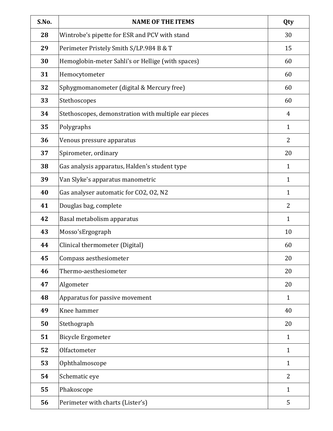| S.No. | <b>NAME OF THE ITEMS</b>                             | Qty          |
|-------|------------------------------------------------------|--------------|
| 28    | Wintrobe's pipette for ESR and PCV with stand        | 30           |
| 29    | Perimeter Pristely Smith S/LP.984 B & T              | 15           |
| 30    | Hemoglobin-meter Sahli's or Hellige (with spaces)    | 60           |
| 31    | Hemocytometer                                        | 60           |
| 32    | Sphygmomanometer (digital & Mercury free)            | 60           |
| 33    | Stethoscopes                                         | 60           |
| 34    | Stethoscopes, demonstration with multiple ear pieces | 4            |
| 35    | Polygraphs                                           | $\mathbf{1}$ |
| 36    | Venous pressure apparatus                            | 2            |
| 37    | Spirometer, ordinary                                 | 20           |
| 38    | Gas analysis apparatus, Halden's student type        | $\mathbf{1}$ |
| 39    | Van Slyke's apparatus manometric                     | $\mathbf{1}$ |
| 40    | Gas analyser automatic for CO2, O2, N2               | $\mathbf{1}$ |
| 41    | Douglas bag, complete                                | 2            |
| 42    | Basal metabolism apparatus                           | $\mathbf{1}$ |
| 43    | Mosso'sErgograph                                     | 10           |
| 44    | Clinical thermometer (Digital)                       | 60           |
| 45    | Compass aesthesiometer                               | 20           |
| 46    | Thermo-aesthesiometer                                | 20           |
| 47    | Algometer                                            | 20           |
| 48    | Apparatus for passive movement                       | $\mathbf{1}$ |
| 49    | Knee hammer                                          | 40           |
| 50    | Stethograph                                          | 20           |
| 51    | <b>Bicycle Ergometer</b>                             | $\mathbf{1}$ |
| 52    | Olfactometer                                         | $\mathbf{1}$ |
| 53    | Ophthalmoscope                                       | $\mathbf{1}$ |
| 54    | Schematic eye                                        | 2            |
| 55    | Phakoscope                                           | $\mathbf{1}$ |
| 56    | Perimeter with charts (Lister's)                     | 5            |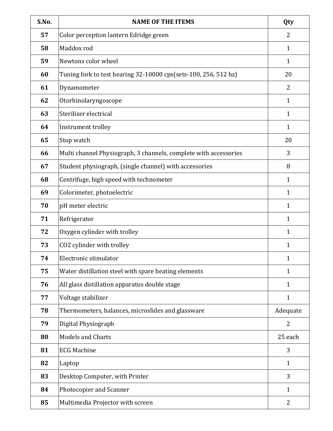| S.No. | <b>NAME OF THE ITEMS</b>                                         | Qty            |
|-------|------------------------------------------------------------------|----------------|
| 57    | Color perception lantern Edridge green                           | 2              |
| 58    | Maddox rod                                                       | $\mathbf{1}$   |
| 59    | Newtons color wheel                                              | $\mathbf{1}$   |
| 60    | Tuning fork to test hearing 32-10000 cps(sets-100, 256, 512 hz)  | 20             |
| 61    | Dynamometer                                                      | 2              |
| 62    | Otorhinolaryngoscope                                             | $\mathbf{1}$   |
| 63    | Sterilizer electrical                                            | $\mathbf{1}$   |
| 64    | Instrument trolley                                               | $\mathbf{1}$   |
| 65    | Stop watch                                                       | 20             |
| 66    | Multi channel Physiograph, 3 channels, complete with accessories | 3              |
| 67    | Student physiograph, (single channel) with accessories           | 8              |
| 68    | Centrifuge, high speed with technometer                          | $\mathbf{1}$   |
| 69    | Colorimeter, photoelectric                                       | $\mathbf{1}$   |
| 70    | pH meter electric                                                | 1              |
| 71    | Refrigerator                                                     | 1              |
| 72    | Oxygen cylinder with trolley                                     | 1              |
| 73    | CO2 cylinder with trolley                                        | 1              |
| 74    | Electronic stimulator                                            | 1              |
| 75    | Water distillation steel with spare heating elements             | $\mathbf{1}$   |
| 76    | All glass distillation apparatus double stage                    | 1              |
| 77    | Voltage stabilizer                                               | $\mathbf{1}$   |
| 78    | Thermometers, balances, microslides and glassware                | Adequate       |
| 79    | Digital Physiograph                                              | 2              |
| 80    | <b>Models and Charts</b>                                         | 25 each        |
| 81    | <b>ECG Machine</b>                                               | 3              |
| 82    | Laptop                                                           | $\mathbf{1}$   |
| 83    | Desktop Computer, with Printer                                   | 3              |
| 84    | Photocopier and Scanner                                          | $\mathbf{1}$   |
| 85    | Multimedia Projector with screen                                 | $\overline{2}$ |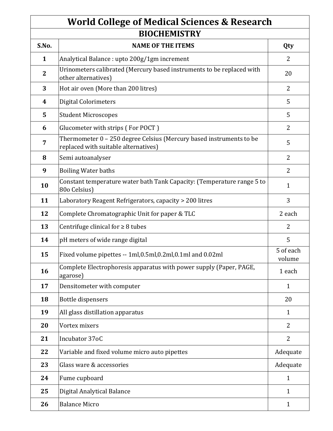#### **World College of Medical Sciences & Research BIOCHEMISTRY**

| DIULALMISIKI   |                                                                                                             |                     |
|----------------|-------------------------------------------------------------------------------------------------------------|---------------------|
| S.No.          | <b>NAME OF THE ITEMS</b>                                                                                    | Qty                 |
| $\mathbf{1}$   | Analytical Balance : upto 200g/1gm increment                                                                | $\overline{2}$      |
| $\mathbf{2}$   | Urinometers calibrated (Mercury based instruments to be replaced with<br>other alternatives)                | 20                  |
| 3              | Hot air oven (More than 200 litres)                                                                         | $\overline{2}$      |
| 4              | <b>Digital Colorimeters</b>                                                                                 | 5                   |
| 5              | <b>Student Microscopes</b>                                                                                  | 5                   |
| 6              | Glucometer with strips (For POCT)                                                                           | $\overline{2}$      |
| $\overline{7}$ | Thermometer 0 - 250 degree Celsius (Mercury based instruments to be<br>replaced with suitable alternatives) | 5                   |
| 8              | Semi autoanalyser                                                                                           | $\overline{2}$      |
| 9              | <b>Boiling Water baths</b>                                                                                  | $\overline{2}$      |
| 10             | Constant temperature water bath Tank Capacity: (Temperature range 5 to<br>80o Celsius)                      | $\mathbf{1}$        |
| 11             | Laboratory Reagent Refrigerators, capacity > 200 litres                                                     | $\overline{3}$      |
| 12             | Complete Chromatographic Unit for paper & TLC                                                               | 2 each              |
| 13             | Centrifuge clinical for $\geq 8$ tubes                                                                      | $\overline{2}$      |
| 14             | pH meters of wide range digital                                                                             | 5                   |
| 15             | Fixed volume pipettes -- 1ml, 0.5ml, 0.2ml, 0.1ml and 0.02ml                                                | 5 of each<br>volume |
| 16             | Complete Electrophoresis apparatus with power supply (Paper, PAGE,<br>agarose)                              | 1 each              |
| 17             | Densitometer with computer                                                                                  | $\mathbf{1}$        |
| 18             | Bottle dispensers                                                                                           | 20                  |
| 19             | All glass distillation apparatus                                                                            | $\mathbf{1}$        |
| 20             | Vortex mixers                                                                                               | 2                   |
| 21             | Incubator 37oC                                                                                              | $\overline{2}$      |
| 22             | Variable and fixed volume micro auto pipettes                                                               | Adequate            |
| 23             | Glass ware & accessories                                                                                    | Adequate            |
| 24             | Fume cupboard                                                                                               | 1                   |
| 25             | Digital Analytical Balance                                                                                  | 1                   |
| 26             | <b>Balance Micro</b>                                                                                        | $\mathbf{1}$        |
|                |                                                                                                             |                     |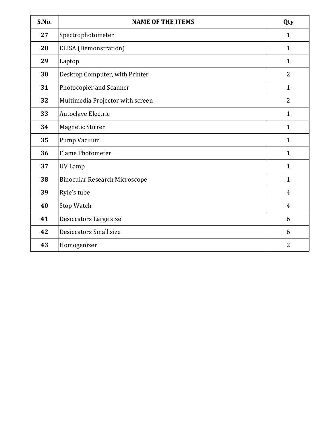| S.No. | <b>NAME OF THE ITEMS</b>             | Qty            |
|-------|--------------------------------------|----------------|
| 27    | Spectrophotometer                    | $\mathbf{1}$   |
| 28    | <b>ELISA</b> (Demonstration)         | $\mathbf{1}$   |
| 29    | Laptop                               | $\mathbf{1}$   |
| 30    | Desktop Computer, with Printer       | $\overline{2}$ |
| 31    | Photocopier and Scanner              | $\mathbf{1}$   |
| 32    | Multimedia Projector with screen     | $\overline{2}$ |
| 33    | <b>Autoclave Electric</b>            | $\mathbf{1}$   |
| 34    | <b>Magnetic Stirrer</b>              | $\mathbf{1}$   |
| 35    | Pump Vacuum                          | $\mathbf{1}$   |
| 36    | <b>Flame Photometer</b>              | $\mathbf{1}$   |
| 37    | UV Lamp                              | $\mathbf{1}$   |
| 38    | <b>Binocular Research Microscope</b> | $\mathbf{1}$   |
| 39    | Ryle's tube                          | $\overline{4}$ |
| 40    | Stop Watch                           | $\overline{4}$ |
| 41    | Desiccators Large size               | 6              |
| 42    | Desiccators Small size               | 6              |
| 43    | Homogenizer                          | $\overline{2}$ |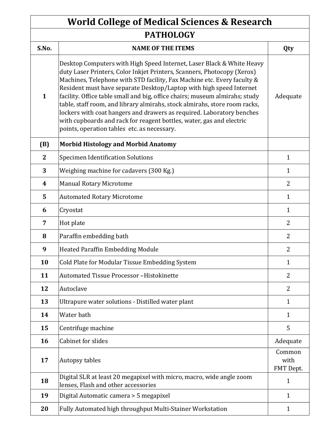### **PATHOLOGY World College of Medical Sciences & Research**

| <b>FAINULUUI</b> |                                                                                                                                                                                                                                                                                                                                                                                                                                                                                                                                                                                                                                                                 |                             |
|------------------|-----------------------------------------------------------------------------------------------------------------------------------------------------------------------------------------------------------------------------------------------------------------------------------------------------------------------------------------------------------------------------------------------------------------------------------------------------------------------------------------------------------------------------------------------------------------------------------------------------------------------------------------------------------------|-----------------------------|
| S.No.            | <b>NAME OF THE ITEMS</b>                                                                                                                                                                                                                                                                                                                                                                                                                                                                                                                                                                                                                                        | Qty                         |
| $\mathbf{1}$     | Desktop Computers with High Speed Internet, Laser Black & White Heavy<br>duty Laser Printers, Color Inkjet Printers, Scanners, Photocopy (Xerox)<br>Machines, Telephone with STD facility, Fax Machine etc. Every faculty &<br>Resident must have separate Desktop/Laptop with high speed Internet<br>facility. Office table small and big, office chairs; museum almirahs; study<br>table, staff room, and library almirahs, stock almirahs, store room racks,<br>lockers with coat hangers and drawers as required. Laboratory benches<br>with cupboards and rack for reagent bottles, water, gas and electric<br>points, operation tables etc. as necessary. | Adequate                    |
| (B)              | <b>Morbid Histology and Morbid Anatomy</b>                                                                                                                                                                                                                                                                                                                                                                                                                                                                                                                                                                                                                      |                             |
| $\mathbf{2}$     | <b>Specimen Identification Solutions</b>                                                                                                                                                                                                                                                                                                                                                                                                                                                                                                                                                                                                                        | $\mathbf{1}$                |
| 3                | Weighing machine for cadavers (300 Kg.)                                                                                                                                                                                                                                                                                                                                                                                                                                                                                                                                                                                                                         | $\mathbf{1}$                |
| 4                | <b>Manual Rotary Microtome</b>                                                                                                                                                                                                                                                                                                                                                                                                                                                                                                                                                                                                                                  | 2                           |
| 5                | <b>Automated Rotary Microtome</b>                                                                                                                                                                                                                                                                                                                                                                                                                                                                                                                                                                                                                               | $\mathbf{1}$                |
| 6                | Cryostat                                                                                                                                                                                                                                                                                                                                                                                                                                                                                                                                                                                                                                                        | $\mathbf{1}$                |
| 7                | Hot plate                                                                                                                                                                                                                                                                                                                                                                                                                                                                                                                                                                                                                                                       | 2                           |
| 8                | Paraffin embedding bath                                                                                                                                                                                                                                                                                                                                                                                                                                                                                                                                                                                                                                         | 2                           |
| 9                | <b>Heated Paraffin Embedding Module</b>                                                                                                                                                                                                                                                                                                                                                                                                                                                                                                                                                                                                                         | 2                           |
| 10               | Cold Plate for Modular Tissue Embedding System                                                                                                                                                                                                                                                                                                                                                                                                                                                                                                                                                                                                                  | $\mathbf{1}$                |
| 11               | Automated Tissue Processor-Histokinette                                                                                                                                                                                                                                                                                                                                                                                                                                                                                                                                                                                                                         | $\overline{2}$              |
| 12               | Autoclave                                                                                                                                                                                                                                                                                                                                                                                                                                                                                                                                                                                                                                                       | $\overline{2}$              |
| 13               | Ultrapure water solutions - Distilled water plant                                                                                                                                                                                                                                                                                                                                                                                                                                                                                                                                                                                                               | $\mathbf{1}$                |
| 14               | Water bath                                                                                                                                                                                                                                                                                                                                                                                                                                                                                                                                                                                                                                                      | $\mathbf{1}$                |
| 15               | Centrifuge machine                                                                                                                                                                                                                                                                                                                                                                                                                                                                                                                                                                                                                                              | 5                           |
| 16               | Cabinet for slides                                                                                                                                                                                                                                                                                                                                                                                                                                                                                                                                                                                                                                              | Adequate                    |
| 17               | Autopsy tables                                                                                                                                                                                                                                                                                                                                                                                                                                                                                                                                                                                                                                                  | Common<br>with<br>FMT Dept. |
| 18               | Digital SLR at least 20 megapixel with micro, macro, wide angle zoom<br>lenses, Flash and other accessories                                                                                                                                                                                                                                                                                                                                                                                                                                                                                                                                                     | $\mathbf{1}$                |
| 19               | Digital Automatic camera > 5 megapixel                                                                                                                                                                                                                                                                                                                                                                                                                                                                                                                                                                                                                          | 1                           |
| 20               | Fully Automated high throughput Multi-Stainer Workstation                                                                                                                                                                                                                                                                                                                                                                                                                                                                                                                                                                                                       | 1                           |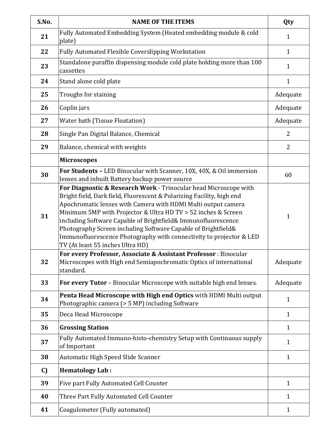| S.No. | <b>NAME OF THE ITEMS</b>                                                                                                                                                                                                                                                                                                                                                                                                                                                                                                                                                                     | Qty          |
|-------|----------------------------------------------------------------------------------------------------------------------------------------------------------------------------------------------------------------------------------------------------------------------------------------------------------------------------------------------------------------------------------------------------------------------------------------------------------------------------------------------------------------------------------------------------------------------------------------------|--------------|
| 21    | Fully Automated Embedding System (Heated embedding module & cold<br>plate)                                                                                                                                                                                                                                                                                                                                                                                                                                                                                                                   | $\mathbf{1}$ |
| 22    | <b>Fully Automated Flexible Coverslipping Workstation</b>                                                                                                                                                                                                                                                                                                                                                                                                                                                                                                                                    | $\mathbf{1}$ |
| 23    | Standalone paraffin dispensing module cold plate holding more than 100<br>cassettes                                                                                                                                                                                                                                                                                                                                                                                                                                                                                                          | $\mathbf{1}$ |
| 24    | Stand alone cold plate                                                                                                                                                                                                                                                                                                                                                                                                                                                                                                                                                                       | $\mathbf{1}$ |
| 25    | Troughs for staining                                                                                                                                                                                                                                                                                                                                                                                                                                                                                                                                                                         | Adequate     |
| 26    | Coplin jars                                                                                                                                                                                                                                                                                                                                                                                                                                                                                                                                                                                  | Adequate     |
| 27    | Water bath (Tissue Floatation)                                                                                                                                                                                                                                                                                                                                                                                                                                                                                                                                                               | Adequate     |
| 28    | Single Pan Digital Balance, Chemical                                                                                                                                                                                                                                                                                                                                                                                                                                                                                                                                                         | 2            |
| 29    | Balance, chemical with weights                                                                                                                                                                                                                                                                                                                                                                                                                                                                                                                                                               | 2            |
|       | <b>Microscopes</b>                                                                                                                                                                                                                                                                                                                                                                                                                                                                                                                                                                           |              |
| 30    | For Students - LED Binocular with Scanner, 10X, 40X, & Oil immersion<br>lenses and inbuilt Battery backup power source                                                                                                                                                                                                                                                                                                                                                                                                                                                                       | 60           |
| 31    | For Diagnostic & Research Work - Trinocular head Microscope with<br>Bright field, Dark field, Fluorescent & Polarizing Facility, high end<br>Apochromatic lenses with Camera with HDMI Multi output camera<br>Minimum 5MP with Projector & Ultra HD TV > 52 inches & Screen<br>including Software Capable of Brightfield& Immunofluorescence<br>Photography Screen including Software Capable of Brightfield&<br>Immunofluorescence Photography with connectivity to projector & LED<br>TV (At least 55 inches Ultra HD)<br>For every Professor, Associate & Assistant Professor : Binocular | 1            |
| 32    | Microscopes with High end Semiapochromatic Optics of international<br>standard.                                                                                                                                                                                                                                                                                                                                                                                                                                                                                                              | Adequate     |
| 33    | For every Tutor - Binocular Microscope with suitable high end lenses.                                                                                                                                                                                                                                                                                                                                                                                                                                                                                                                        | Adequate     |
| 34    | Penta Head Microscope with High end Optics with HDMI Multi output<br>Photographic camera (> 5 MP) including Software                                                                                                                                                                                                                                                                                                                                                                                                                                                                         | $\mathbf{1}$ |
| 35    | Deca Head Microscope                                                                                                                                                                                                                                                                                                                                                                                                                                                                                                                                                                         | $\mathbf{1}$ |
| 36    | <b>Grossing Station</b>                                                                                                                                                                                                                                                                                                                                                                                                                                                                                                                                                                      | $\mathbf{1}$ |
| 37    | Fully Automated Immuno-histo-chemistry Setup with Continuous supply<br>of Important                                                                                                                                                                                                                                                                                                                                                                                                                                                                                                          | $\mathbf{1}$ |
| 38    | Automatic High Speed Slide Scanner                                                                                                                                                                                                                                                                                                                                                                                                                                                                                                                                                           | $\mathbf{1}$ |
| C)    | <b>Hematology Lab:</b>                                                                                                                                                                                                                                                                                                                                                                                                                                                                                                                                                                       |              |
| 39    | Five part Fully Automated Cell Counter                                                                                                                                                                                                                                                                                                                                                                                                                                                                                                                                                       | $\mathbf{1}$ |
| 40    | Three Part Fully Automated Cell Counter                                                                                                                                                                                                                                                                                                                                                                                                                                                                                                                                                      | $\mathbf{1}$ |
| 41    | Coagulometer (Fully automated)                                                                                                                                                                                                                                                                                                                                                                                                                                                                                                                                                               | $\mathbf{1}$ |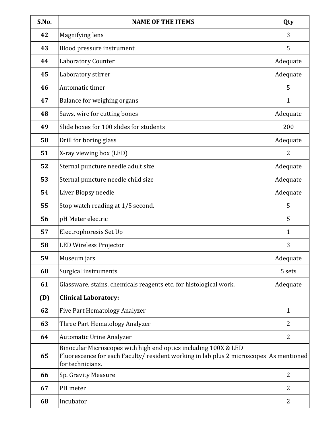| S.No. | <b>NAME OF THE ITEMS</b>                                                                                                                                                      | Qty            |
|-------|-------------------------------------------------------------------------------------------------------------------------------------------------------------------------------|----------------|
| 42    | Magnifying lens                                                                                                                                                               | 3              |
| 43    | Blood pressure instrument                                                                                                                                                     | 5              |
| 44    | <b>Laboratory Counter</b>                                                                                                                                                     | Adequate       |
| 45    | Laboratory stirrer                                                                                                                                                            | Adequate       |
| 46    | Automatic timer                                                                                                                                                               | 5              |
| 47    | Balance for weighing organs                                                                                                                                                   | $\mathbf{1}$   |
| 48    | Saws, wire for cutting bones                                                                                                                                                  | Adequate       |
| 49    | Slide boxes for 100 slides for students                                                                                                                                       | 200            |
| 50    | Drill for boring glass                                                                                                                                                        | Adequate       |
| 51    | X-ray viewing box (LED)                                                                                                                                                       | $\overline{2}$ |
| 52    | Sternal puncture needle adult size                                                                                                                                            | Adequate       |
| 53    | Sternal puncture needle child size                                                                                                                                            | Adequate       |
| 54    | Liver Biopsy needle                                                                                                                                                           | Adequate       |
| 55    | Stop watch reading at 1/5 second.                                                                                                                                             | 5              |
| 56    | pH Meter electric                                                                                                                                                             | 5              |
| 57    | Electrophoresis Set Up                                                                                                                                                        | $\mathbf{1}$   |
| 58    | <b>LED Wireless Projector</b>                                                                                                                                                 | 3              |
| 59    | Museum jars                                                                                                                                                                   | Adequate       |
| 60    | Surgical instruments                                                                                                                                                          | 5 sets         |
| 61    | Glassware, stains, chemicals reagents etc. for histological work.                                                                                                             | Adequate       |
| (D)   | <b>Clinical Laboratory:</b>                                                                                                                                                   |                |
| 62    | <b>Five Part Hematology Analyzer</b>                                                                                                                                          | $\mathbf{1}$   |
| 63    | Three Part Hematology Analyzer                                                                                                                                                | 2              |
| 64    | <b>Automatic Urine Analyzer</b>                                                                                                                                               | $\overline{2}$ |
| 65    | Binocular Microscopes with high end optics including 100X & LED<br>Fluorescence for each Faculty/ resident working in lab plus 2 microscopes As mentioned<br>for technicians. |                |
| 66    | Sp. Gravity Measure                                                                                                                                                           | $\overline{2}$ |
| 67    | PH meter                                                                                                                                                                      | $\overline{2}$ |
| 68    | Incubator                                                                                                                                                                     | $\overline{2}$ |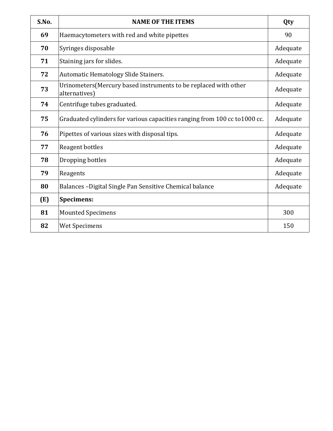| S.No. | <b>NAME OF THE ITEMS</b>                                                          | Qty      |
|-------|-----------------------------------------------------------------------------------|----------|
| 69    | Haemacytometers with red and white pipettes                                       | 90       |
| 70    | Syringes disposable                                                               | Adequate |
| 71    | Staining jars for slides.                                                         | Adequate |
| 72    | Automatic Hematology Slide Stainers.                                              | Adequate |
| 73    | Urinometers (Mercury based instruments to be replaced with other<br>alternatives) | Adequate |
| 74    | Centrifuge tubes graduated.                                                       | Adequate |
| 75    | Graduated cylinders for various capacities ranging from 100 cc to 1000 cc.        | Adequate |
| 76    | Pipettes of various sizes with disposal tips.                                     | Adequate |
| 77    | Reagent bottles                                                                   | Adequate |
| 78    | Dropping bottles                                                                  | Adequate |
| 79    | Reagents                                                                          | Adequate |
| 80    | Balances - Digital Single Pan Sensitive Chemical balance                          | Adequate |
| (E)   | <b>Specimens:</b>                                                                 |          |
| 81    | <b>Mounted Specimens</b>                                                          | 300      |
| 82    | <b>Wet Specimens</b>                                                              | 150      |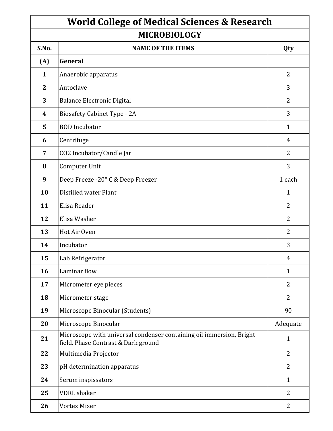| <b>World College of Medical Sciences &amp; Research</b> |                                                                                                             |                |
|---------------------------------------------------------|-------------------------------------------------------------------------------------------------------------|----------------|
| <b>MICROBIOLOGY</b>                                     |                                                                                                             |                |
| S.No.                                                   | <b>NAME OF THE ITEMS</b>                                                                                    | Qty            |
| (A)                                                     | General                                                                                                     |                |
| 1                                                       | Anaerobic apparatus                                                                                         | 2              |
| $\mathbf{2}$                                            | Autoclave                                                                                                   | 3              |
| 3                                                       | <b>Balance Electronic Digital</b>                                                                           | 2              |
| 4                                                       | <b>Biosafety Cabinet Type - 2A</b>                                                                          | 3              |
| 5                                                       | <b>BOD</b> Incubator                                                                                        | $\mathbf{1}$   |
| 6                                                       | Centrifuge                                                                                                  | 4              |
| 7                                                       | CO2 Incubator/Candle Jar                                                                                    | 2              |
| 8                                                       | Computer Unit                                                                                               | 3              |
| 9                                                       | Deep Freeze -20° C & Deep Freezer                                                                           | 1 each         |
| 10                                                      | Distilled water Plant                                                                                       | $\mathbf{1}$   |
| 11                                                      | Elisa Reader                                                                                                | 2              |
| 12                                                      | Elisa Washer                                                                                                | 2              |
| 13                                                      | Hot Air Oven                                                                                                | 2              |
| 14                                                      | Incubator                                                                                                   | 3              |
| 15                                                      | Lab Refrigerator                                                                                            | 4              |
| 16                                                      | Laminar flow                                                                                                | $\mathbf{1}$   |
| 17                                                      | Micrometer eye pieces                                                                                       | 2              |
| 18                                                      | Micrometer stage                                                                                            | $\overline{2}$ |
| 19                                                      | Microscope Binocular (Students)                                                                             | 90             |
| 20                                                      | Microscope Binocular                                                                                        | Adequate       |
| 21                                                      | Microscope with universal condenser containing oil immersion, Bright<br>field, Phase Contrast & Dark ground | $\mathbf{1}$   |
| 22                                                      | Multimedia Projector                                                                                        | $\overline{2}$ |
| 23                                                      | pH determination apparatus                                                                                  | $\overline{2}$ |
| 24                                                      | Serum inspissators                                                                                          | $\mathbf{1}$   |
| 25                                                      | <b>VDRL</b> shaker                                                                                          | $\overline{2}$ |
| 26                                                      | <b>Vortex Mixer</b>                                                                                         | $\overline{2}$ |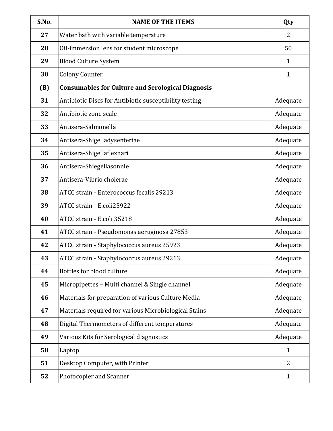| S.No. | <b>NAME OF THE ITEMS</b>                                 | Qty            |
|-------|----------------------------------------------------------|----------------|
| 27    | Water bath with variable temperature                     | $\overline{2}$ |
| 28    | Oil-immersion lens for student microscope                | 50             |
| 29    | <b>Blood Culture System</b>                              | $\mathbf{1}$   |
| 30    | <b>Colony Counter</b>                                    | $\mathbf{1}$   |
| (B)   | <b>Consumables for Culture and Serological Diagnosis</b> |                |
| 31    | Antibiotic Discs for Antibiotic susceptibility testing   | Adequate       |
| 32    | Antibiotic zone scale                                    | Adequate       |
| 33    | Antisera-Salmonella                                      | Adequate       |
| 34    | Antisera-Shigelladysenteriae                             | Adequate       |
| 35    | Antisera-Shigellaflexnari                                | Adequate       |
| 36    | Antisera-Shiegellasonnie                                 | Adequate       |
| 37    | Antisera-Vibrio cholerae                                 | Adequate       |
| 38    | ATCC strain - Enterococcus fecalis 29213                 | Adequate       |
| 39    | ATCC strain - E.coli25922                                | Adequate       |
| 40    | ATCC strain - E.coli 35218                               | Adequate       |
| 41    | ATCC strain - Pseudomonas aeruginosa 27853               | Adequate       |
| 42    | ATCC strain - Staphylococcus aureus 25923                | Adequate       |
| 43    | ATCC strain - Staphylococcus aureus 29213                | Adequate       |
| 44    | Bottles for blood culture                                | Adequate       |
| 45    | Micropipettes - Multi channel & Single channel           | Adequate       |
| 46    | Materials for preparation of various Culture Media       | Adequate       |
| 47    | Materials required for various Microbiological Stains    | Adequate       |
| 48    | Digital Thermometers of different temperatures           | Adequate       |
| 49    | Various Kits for Serological diagnostics                 | Adequate       |
| 50    | Laptop                                                   | $\mathbf{1}$   |
| 51    | Desktop Computer, with Printer                           | 2              |
| 52    | Photocopier and Scanner                                  | $\mathbf{1}$   |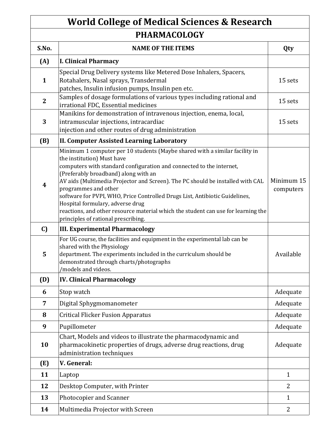# **World College of Medical Sciences & Research PHARMACOLOGY**

| S.No.        | <b>NAME OF THE ITEMS</b>                                                                                                                                                                                                                                                                                                                                                                                                                                                                                                                                                           | Qty                     |
|--------------|------------------------------------------------------------------------------------------------------------------------------------------------------------------------------------------------------------------------------------------------------------------------------------------------------------------------------------------------------------------------------------------------------------------------------------------------------------------------------------------------------------------------------------------------------------------------------------|-------------------------|
| (A)          | <b>I. Clinical Pharmacy</b>                                                                                                                                                                                                                                                                                                                                                                                                                                                                                                                                                        |                         |
| $\mathbf{1}$ | Special Drug Delivery systems like Metered Dose Inhalers, Spacers,<br>Rotahalers, Nasal sprays, Transdermal<br>patches, Insulin infusion pumps, Insulin pen etc.                                                                                                                                                                                                                                                                                                                                                                                                                   | 15 sets                 |
| $\mathbf{2}$ | Samples of dosage formulations of various types including rational and<br>irrational FDC, Essential medicines                                                                                                                                                                                                                                                                                                                                                                                                                                                                      | 15 sets                 |
| 3            | Manikins for demonstration of intravenous injection, enema, local,<br>intramuscular injections, intracardiac<br>injection and other routes of drug administration                                                                                                                                                                                                                                                                                                                                                                                                                  | 15 sets                 |
| (B)          | <b>II. Computer Assisted Learning Laboratory</b>                                                                                                                                                                                                                                                                                                                                                                                                                                                                                                                                   |                         |
| 4            | Minimum 1 computer per 10 students (Maybe shared with a similar facility in<br>the institution) Must have<br>computers with standard configuration and connected to the internet,<br>(Preferably broadband) along with an<br>AV aids (Multimedia Projector and Screen). The PC should be installed with CAL<br>programmes and other<br>software for PVPI, WHO, Price Controlled Drugs List, Antibiotic Guidelines,<br>Hospital formulary, adverse drug<br>reactions, and other resource material which the student can use for learning the<br>principles of rational prescribing. | Minimum 15<br>computers |
| C)           | <b>III. Experimental Pharmacology</b>                                                                                                                                                                                                                                                                                                                                                                                                                                                                                                                                              |                         |
| 5            | For UG course, the facilities and equipment in the experimental lab can be<br>shared with the Physiology<br>department. The experiments included in the curriculum should be<br>demonstrated through charts/photographs<br>/models and videos.                                                                                                                                                                                                                                                                                                                                     | Available               |
| (D)          | <b>IV. Clinical Pharmacology</b>                                                                                                                                                                                                                                                                                                                                                                                                                                                                                                                                                   |                         |
| 6            | Stop watch                                                                                                                                                                                                                                                                                                                                                                                                                                                                                                                                                                         | Adequate                |
| 7            | Digital Sphygmomanometer                                                                                                                                                                                                                                                                                                                                                                                                                                                                                                                                                           | Adequate                |
| 8            | <b>Critical Flicker Fusion Apparatus</b>                                                                                                                                                                                                                                                                                                                                                                                                                                                                                                                                           | Adequate                |
| 9            | Pupillometer                                                                                                                                                                                                                                                                                                                                                                                                                                                                                                                                                                       | Adequate                |
| 10           | Chart, Models and videos to illustrate the pharmacodynamic and<br>pharmacokinetic properties of drugs, adverse drug reactions, drug<br>administration techniques                                                                                                                                                                                                                                                                                                                                                                                                                   | Adequate                |
| (E)          | V. General:                                                                                                                                                                                                                                                                                                                                                                                                                                                                                                                                                                        |                         |
| 11           | Laptop                                                                                                                                                                                                                                                                                                                                                                                                                                                                                                                                                                             | $\mathbf{1}$            |
| 12           | Desktop Computer, with Printer                                                                                                                                                                                                                                                                                                                                                                                                                                                                                                                                                     | $\overline{2}$          |
| 13           | Photocopier and Scanner                                                                                                                                                                                                                                                                                                                                                                                                                                                                                                                                                            | $\mathbf{1}$            |
| 14           | Multimedia Projector with Screen                                                                                                                                                                                                                                                                                                                                                                                                                                                                                                                                                   | $\overline{2}$          |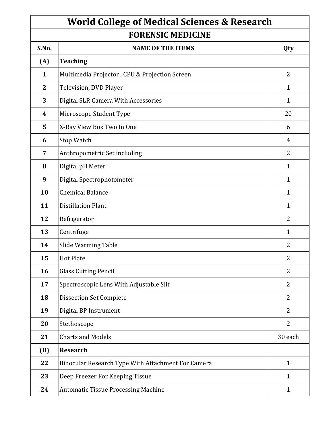# **World College of Medical Sciences & Research FORENSIC MEDICINE**

| <b>NAME OF THE ITEMS</b>                           | Qty            |  |
|----------------------------------------------------|----------------|--|
| <b>Teaching</b>                                    |                |  |
| Multimedia Projector, CPU & Projection Screen      | $\overline{2}$ |  |
| Television, DVD Player                             | $\mathbf{1}$   |  |
| Digital SLR Camera With Accessories                | $\mathbf{1}$   |  |
| Microscope Student Type                            | 20             |  |
| X-Ray View Box Two In One                          | 6              |  |
| Stop Watch                                         | 4              |  |
| Anthropometric Set including                       | 2              |  |
| Digital pH Meter                                   | $\mathbf{1}$   |  |
| Digital Spectrophotometer                          | $\mathbf{1}$   |  |
| <b>Chemical Balance</b>                            | $\mathbf{1}$   |  |
| <b>Distillation Plant</b>                          | $\mathbf{1}$   |  |
| Refrigerator                                       | $\overline{2}$ |  |
| Centrifuge                                         | $\mathbf{1}$   |  |
| Slide Warming Table                                | $\overline{2}$ |  |
| <b>Hot Plate</b>                                   | $\overline{2}$ |  |
| <b>Glass Cutting Pencil</b>                        | $\overline{2}$ |  |
| Spectroscopic Lens With Adjustable Slit            | $\overline{2}$ |  |
| <b>Dissection Set Complete</b>                     | $\overline{2}$ |  |
| Digital BP Instrument                              | $\overline{2}$ |  |
| Stethoscope                                        | $\overline{2}$ |  |
| <b>Charts and Models</b>                           | 30 each        |  |
| <b>Research</b>                                    |                |  |
| Binocular Research Type With Attachment For Camera | $\mathbf{1}$   |  |
| Deep Freezer For Keeping Tissue                    | $\mathbf{1}$   |  |
| <b>Automatic Tissue Processing Machine</b>         | $\mathbf{1}$   |  |
|                                                    |                |  |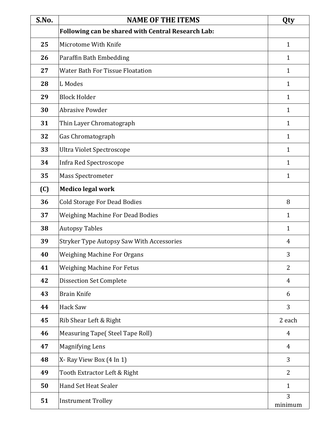| S.No. | <b>NAME OF THE ITEMS</b>                           | Qty            |
|-------|----------------------------------------------------|----------------|
|       | Following can be shared with Central Research Lab: |                |
| 25    | Microtome With Knife                               | $\mathbf{1}$   |
| 26    | Paraffin Bath Embedding                            | $\mathbf{1}$   |
| 27    | <b>Water Bath For Tissue Floatation</b>            | 1              |
| 28    | L Modes                                            | 1              |
| 29    | <b>Block Holder</b>                                | 1              |
| 30    | <b>Abrasive Powder</b>                             | 1              |
| 31    | Thin Layer Chromatograph                           | $\mathbf{1}$   |
| 32    | Gas Chromatograph                                  | $\mathbf{1}$   |
| 33    | Ultra Violet Spectroscope                          | $\mathbf{1}$   |
| 34    | Infra Red Spectroscope                             | $\mathbf{1}$   |
| 35    | Mass Spectrometer                                  | $\mathbf{1}$   |
| (C)   | <b>Medico legal work</b>                           |                |
| 36    | <b>Cold Storage For Dead Bodies</b>                | 8              |
| 37    | <b>Weighing Machine For Dead Bodies</b>            | $\mathbf{1}$   |
| 38    | <b>Autopsy Tables</b>                              | $\mathbf{1}$   |
| 39    | <b>Stryker Type Autopsy Saw With Accessories</b>   | $\overline{4}$ |
| 40    | <b>Weighing Machine For Organs</b>                 | 3              |
| 41    | <b>Weighing Machine For Fetus</b>                  | $\overline{2}$ |
| 42    | <b>Dissection Set Complete</b>                     | $\overline{4}$ |
| 43    | <b>Brain Knife</b>                                 | 6              |
| 44    | Hack Saw                                           | 3              |
| 45    | Rib Shear Left & Right                             | 2 each         |
| 46    | <b>Measuring Tape(Steel Tape Roll)</b>             | 4              |
| 47    | <b>Magnifying Lens</b>                             | $\overline{4}$ |
| 48    | X-Ray View Box (4 In 1)                            | 3              |
| 49    | Tooth Extractor Left & Right                       | $\overline{2}$ |
| 50    | Hand Set Heat Sealer                               | $\mathbf{1}$   |
| 51    | <b>Instrument Trolley</b>                          | 3<br>minimum   |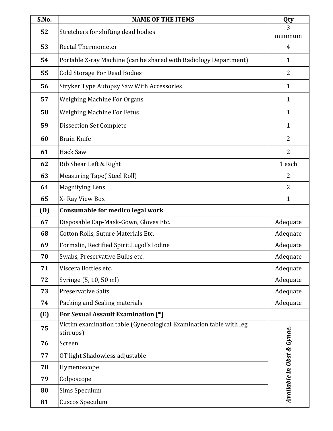| S.No. | <b>NAME OF THE ITEMS</b>                                                        | Qty                        |
|-------|---------------------------------------------------------------------------------|----------------------------|
| 52    | Stretchers for shifting dead bodies                                             | 3                          |
| 53    | <b>Rectal Thermometer</b>                                                       | minimum<br>4               |
|       |                                                                                 |                            |
| 54    | Portable X-ray Machine (can be shared with Radiology Department)                | $\mathbf{1}$               |
| 55    | <b>Cold Storage For Dead Bodies</b>                                             | $\overline{2}$             |
| 56    | <b>Stryker Type Autopsy Saw With Accessories</b>                                | $\mathbf{1}$               |
| 57    | <b>Weighing Machine For Organs</b>                                              | $\mathbf{1}$               |
| 58    | <b>Weighing Machine For Fetus</b>                                               | $\mathbf{1}$               |
| 59    | <b>Dissection Set Complete</b>                                                  | $\mathbf{1}$               |
| 60    | <b>Brain Knife</b>                                                              | 2                          |
| 61    | <b>Hack Saw</b>                                                                 | $\overline{2}$             |
| 62    | Rib Shear Left & Right                                                          | 1 each                     |
| 63    | <b>Measuring Tape(Steel Roll)</b>                                               | 2                          |
| 64    | <b>Magnifying Lens</b>                                                          | $\overline{2}$             |
| 65    | X-Ray View Box                                                                  | $\mathbf{1}$               |
| (D)   | Consumable for medico legal work                                                |                            |
| 67    | Disposable Cap-Mask-Gown, Gloves Etc.                                           | Adequate                   |
| 68    | Cotton Rolls, Suture Materials Etc.                                             | Adequate                   |
| 69    | Formalin, Rectified Spirit, Lugol's Iodine                                      | Adequate                   |
| 70    | Swabs, Preservative Bulbs etc.                                                  | Adequate                   |
| 71    | Viscera Bottles etc.                                                            | Adequate                   |
| 72    | Syringe (5, 10, 50 ml)                                                          | Adequate                   |
| 73    | <b>Preservative Salts</b>                                                       | Adequate                   |
| 74    | Packing and Sealing materials                                                   | Adequate                   |
| (E)   | For Sexual Assault Examination [*]                                              |                            |
| 75    | Victim examination table (Gynecological Examination table with leg<br>stirrups) |                            |
| 76    | Screen                                                                          |                            |
| 77    | OT light Shadowless adjustable                                                  |                            |
| 78    | Hymenoscope                                                                     |                            |
| 79    | Colposcope                                                                      |                            |
| 80    | Sims Speculum                                                                   | Available in Obst & Gynae. |
| 81    | <b>Cuscos Speculum</b>                                                          |                            |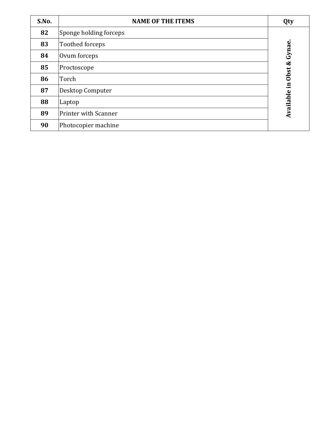| S.No. | <b>NAME OF THE ITEMS</b>    | Qty       |
|-------|-----------------------------|-----------|
| 82    | Sponge holding forceps      |           |
| 83    | <b>Toothed forceps</b>      | Gynae.    |
| 84    | Ovum forceps                |           |
| 85    | Proctoscope                 | $\infty$  |
| 86    | Torch                       | Obst      |
| 87    | Desktop Computer            | $\Xi$     |
| 88    | Laptop                      | Available |
| 89    | <b>Printer with Scanner</b> |           |
| 90    | Photocopier machine         |           |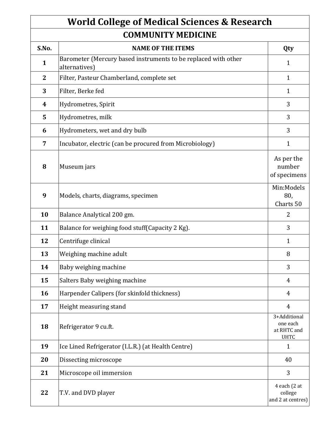#### **COMMUNITY MEDICINE World College of Medical Sciences & Research**

| LUMIMUNI I I MEDILINE |                                                                                 |                                                        |
|-----------------------|---------------------------------------------------------------------------------|--------------------------------------------------------|
| S.No.                 | <b>NAME OF THE ITEMS</b>                                                        | Qty                                                    |
| $\mathbf{1}$          | Barometer (Mercury based instruments to be replaced with other<br>alternatives) | 1                                                      |
| $\mathbf{2}$          | Filter, Pasteur Chamberland, complete set                                       | $\mathbf{1}$                                           |
| 3                     | Filter, Berke fed                                                               | $\mathbf{1}$                                           |
| $\boldsymbol{4}$      | Hydrometres, Spirit                                                             | 3                                                      |
| 5                     | Hydrometres, milk                                                               | 3                                                      |
| 6                     | Hydrometers, wet and dry bulb                                                   | 3                                                      |
| $\overline{7}$        | Incubator, electric (can be procured from Microbiology)                         | $\mathbf{1}$                                           |
| 8                     | Museum jars                                                                     | As per the<br>number<br>of specimens                   |
| 9                     | Models, charts, diagrams, specimen                                              | Min:Models<br>80,<br>Charts 50                         |
| 10                    | Balance Analytical 200 gm.                                                      | $\overline{2}$                                         |
| 11                    | Balance for weighing food stuff (Capacity 2 Kg).                                | 3                                                      |
| 12                    | Centrifuge clinical                                                             | $\mathbf{1}$                                           |
| 13                    | Weighing machine adult                                                          | 8                                                      |
| 14                    | Baby weighing machine                                                           | 3                                                      |
| 15                    | Salters Baby weighing machine                                                   | $\overline{4}$                                         |
| 16                    | Harpender Calipers (for skinfold thickness)                                     | $\overline{4}$                                         |
| 17                    | Height measuring stand                                                          | $\overline{4}$                                         |
| 18                    | Refrigerator 9 cu.ft.                                                           | 3+Additional<br>one each<br>at RHTC and<br><b>UHTC</b> |
| 19                    | Ice Lined Refrigerator (I.L.R.) (at Health Centre)                              | $\mathbf{1}$                                           |
| 20                    | Dissecting microscope                                                           | 40                                                     |
| 21                    | Microscope oil immersion                                                        | 3                                                      |
| 22                    | T.V. and DVD player                                                             | 4 each (2 at<br>college<br>and 2 at centres)           |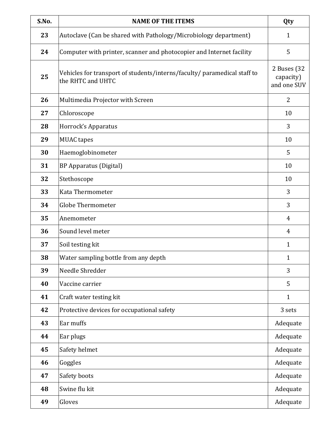| S.No. | <b>NAME OF THE ITEMS</b>                                                                      | Qty                                     |
|-------|-----------------------------------------------------------------------------------------------|-----------------------------------------|
| 23    | Autoclave (Can be shared with Pathology/Microbiology department)                              | 1                                       |
| 24    | Computer with printer, scanner and photocopier and Internet facility                          | 5                                       |
| 25    | Vehicles for transport of students/interns/faculty/ paramedical staff to<br>the RHTC and UHTC | 2 Buses (32<br>capacity)<br>and one SUV |
| 26    | Multimedia Projector with Screen                                                              | $\overline{2}$                          |
| 27    | Chloroscope                                                                                   | 10                                      |
| 28    | Horrock's Apparatus                                                                           | 3                                       |
| 29    | <b>MUAC</b> tapes                                                                             | 10                                      |
| 30    | Haemoglobinometer                                                                             | 5                                       |
| 31    | <b>BP Apparatus (Digital)</b>                                                                 | 10                                      |
| 32    | Stethoscope                                                                                   | 10                                      |
| 33    | Kata Thermometer                                                                              | 3                                       |
| 34    | <b>Globe Thermometer</b>                                                                      | 3                                       |
| 35    | Anemometer                                                                                    | 4                                       |
| 36    | Sound level meter                                                                             | 4                                       |
| 37    | Soil testing kit                                                                              | $\mathbf{1}$                            |
| 38    | Water sampling bottle from any depth                                                          | 1                                       |
| 39    | Needle Shredder                                                                               | 3                                       |
| 40    | Vaccine carrier                                                                               | 5                                       |
| 41    | Craft water testing kit                                                                       | $\mathbf{1}$                            |
| 42    | Protective devices for occupational safety                                                    | 3 sets                                  |
| 43    | Ear muffs                                                                                     | Adequate                                |
| 44    | Ear plugs                                                                                     | Adequate                                |
| 45    | Safety helmet                                                                                 | Adequate                                |
| 46    | Goggles                                                                                       | Adequate                                |
| 47    | Safety boots                                                                                  | Adequate                                |
| 48    | Swine flu kit                                                                                 | Adequate                                |
| 49    | Gloves                                                                                        | Adequate                                |